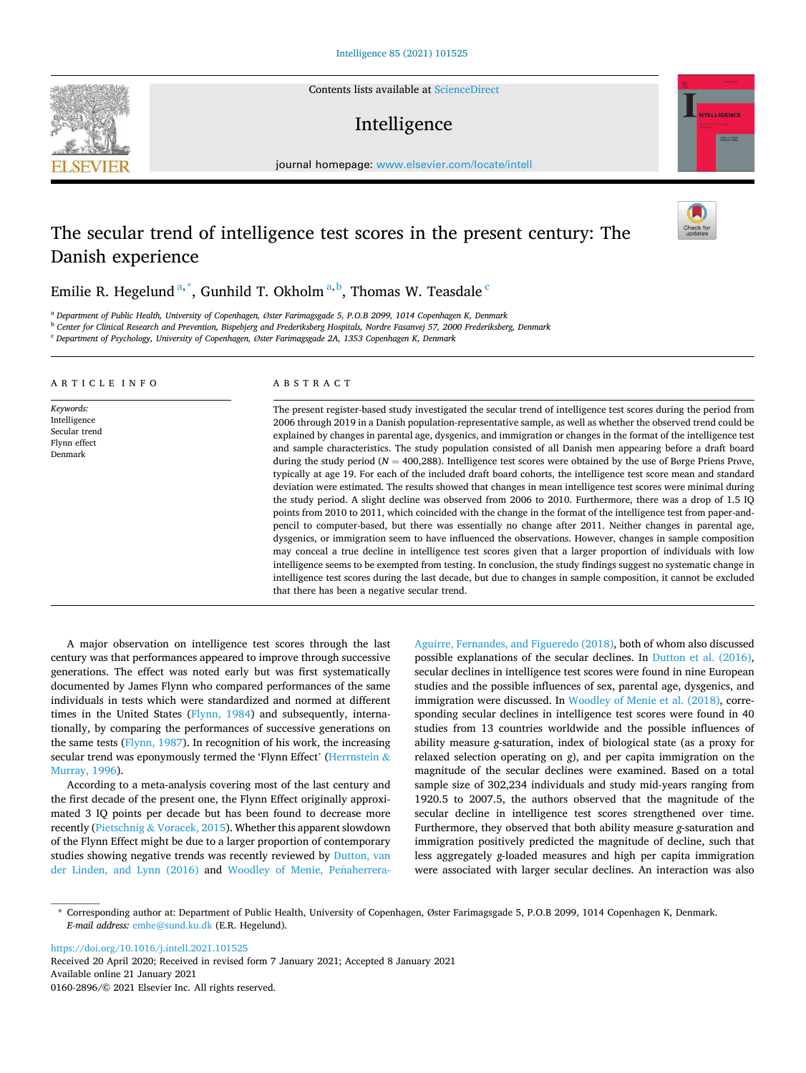Contents lists available at [ScienceDirect](www.sciencedirect.com/science/journal/01602896)

# Intelligence

journal homepage: [www.elsevier.com/locate/intell](https://www.elsevier.com/locate/intell) 

# The secular trend of intelligence test scores in the present century: The Danish experience

Emilie R. Hegelund <sup>a, \*</sup>, Gunhild T. Okholm <sup>a, b</sup>, Thomas W. Teasdale <sup>c</sup>

<sup>a</sup> *Department of Public Health, University of Copenhagen, Øster Farimagsgade 5, P.O.B 2099, 1014 Copenhagen K, Denmark* 

<sup>b</sup> *Center for Clinical Research and Prevention, Bispebjerg and Frederiksberg Hospitals, Nordre Fasanvej 57, 2000 Frederiksberg, Denmark* 

<sup>c</sup> *Department of Psychology, University of Copenhagen, Øster Farimagsgade 2A, 1353 Copenhagen K, Denmark* 

#### A R T I C L E I N F O

*Keywords:*  Intelligence Secular trend Flynn effect Denmark

ABSTRACT

The present register-based study investigated the secular trend of intelligence test scores during the period from 2006 through 2019 in a Danish population-representative sample, as well as whether the observed trend could be explained by changes in parental age, dysgenics, and immigration or changes in the format of the intelligence test and sample characteristics. The study population consisted of all Danish men appearing before a draft board during the study period ( $N = 400,288$ ). Intelligence test scores were obtained by the use of Børge Priens Prøve, typically at age 19. For each of the included draft board cohorts, the intelligence test score mean and standard deviation were estimated. The results showed that changes in mean intelligence test scores were minimal during the study period. A slight decline was observed from 2006 to 2010. Furthermore, there was a drop of 1.5 IQ points from 2010 to 2011, which coincided with the change in the format of the intelligence test from paper-andpencil to computer-based, but there was essentially no change after 2011. Neither changes in parental age, dysgenics, or immigration seem to have influenced the observations. However, changes in sample composition may conceal a true decline in intelligence test scores given that a larger proportion of individuals with low intelligence seems to be exempted from testing. In conclusion, the study findings suggest no systematic change in intelligence test scores during the last decade, but due to changes in sample composition, it cannot be excluded that there has been a negative secular trend.

A major observation on intelligence test scores through the last century was that performances appeared to improve through successive generations. The effect was noted early but was first systematically documented by James Flynn who compared performances of the same individuals in tests which were standardized and normed at different times in the United States [\(Flynn, 1984](#page-5-0)) and subsequently, internationally, by comparing the performances of successive generations on the same tests ([Flynn, 1987](#page-5-0)). In recognition of his work, the increasing secular trend was eponymously termed the 'Flynn Effect' ([Herrnstein](#page-5-0) & [Murray, 1996](#page-5-0)).

According to a meta-analysis covering most of the last century and the first decade of the present one, the Flynn Effect originally approximated 3 IQ points per decade but has been found to decrease more recently (Pietschnig & [Voracek, 2015\)](#page-5-0). Whether this apparent slowdown of the Flynn Effect might be due to a larger proportion of contemporary studies showing negative trends was recently reviewed by [Dutton, van](#page-5-0)  [der Linden, and Lynn \(2016\)](#page-5-0) and Woodley of Menie, Peñaherrera-

[Aguirre, Fernandes, and Figueredo \(2018\),](#page-6-0) both of whom also discussed possible explanations of the secular declines. In [Dutton et al. \(2016\)](#page-5-0), secular declines in intelligence test scores were found in nine European studies and the possible influences of sex, parental age, dysgenics, and immigration were discussed. In [Woodley of Menie et al. \(2018\)](#page-6-0), corresponding secular declines in intelligence test scores were found in 40 studies from 13 countries worldwide and the possible influences of ability measure *g*-saturation, index of biological state (as a proxy for relaxed selection operating on *g*), and per capita immigration on the magnitude of the secular declines were examined. Based on a total sample size of 302,234 individuals and study mid-years ranging from 1920.5 to 2007.5, the authors observed that the magnitude of the secular decline in intelligence test scores strengthened over time. Furthermore, they observed that both ability measure *g*-saturation and immigration positively predicted the magnitude of decline, such that less aggregately *g*-loaded measures and high per capita immigration were associated with larger secular declines. An interaction was also

<https://doi.org/10.1016/j.intell.2021.101525>

Available online 21 January 2021 0160-2896/© 2021 Elsevier Inc. All rights reserved. Received 20 April 2020; Received in revised form 7 January 2021; Accepted 8 January 2021







<sup>\*</sup> Corresponding author at: Department of Public Health, University of Copenhagen, Øster Farimagsgade 5, P.O.B 2099, 1014 Copenhagen K, Denmark. *E-mail address:* [emhe@sund.ku.dk](mailto:emhe@sund.ku.dk) (E.R. Hegelund).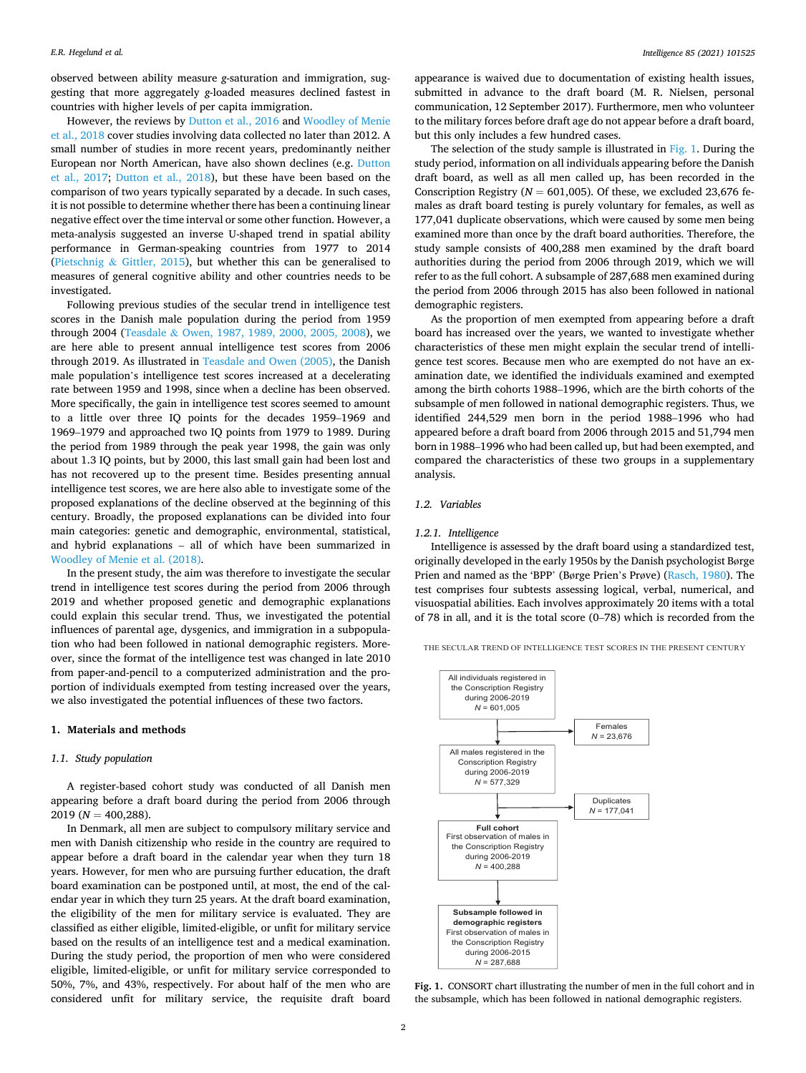observed between ability measure *g*-saturation and immigration, suggesting that more aggregately *g*-loaded measures declined fastest in countries with higher levels of per capita immigration.

However, the reviews by [Dutton et al., 2016](#page-5-0) and [Woodley of Menie](#page-6-0)  [et al., 2018](#page-6-0) cover studies involving data collected no later than 2012. A small number of studies in more recent years, predominantly neither European nor North American, have also shown declines (e.g. [Dutton](#page-5-0)  [et al., 2017;](#page-5-0) [Dutton et al., 2018\)](#page-5-0), but these have been based on the comparison of two years typically separated by a decade. In such cases, it is not possible to determine whether there has been a continuing linear negative effect over the time interval or some other function. However, a meta-analysis suggested an inverse U-shaped trend in spatial ability performance in German-speaking countries from 1977 to 2014 (Pietschnig & [Gittler, 2015\)](#page-5-0), but whether this can be generalised to measures of general cognitive ability and other countries needs to be investigated.

Following previous studies of the secular trend in intelligence test scores in the Danish male population during the period from 1959 through 2004 (Teasdale & [Owen, 1987, 1989, 2000, 2005, 2008](#page-5-0)), we are here able to present annual intelligence test scores from 2006 through 2019. As illustrated in [Teasdale and Owen \(2005\),](#page-5-0) the Danish male population's intelligence test scores increased at a decelerating rate between 1959 and 1998, since when a decline has been observed. More specifically, the gain in intelligence test scores seemed to amount to a little over three IQ points for the decades 1959–1969 and 1969–1979 and approached two IQ points from 1979 to 1989. During the period from 1989 through the peak year 1998, the gain was only about 1.3 IQ points, but by 2000, this last small gain had been lost and has not recovered up to the present time. Besides presenting annual intelligence test scores, we are here also able to investigate some of the proposed explanations of the decline observed at the beginning of this century. Broadly, the proposed explanations can be divided into four main categories: genetic and demographic, environmental, statistical, and hybrid explanations – all of which have been summarized in [Woodley of Menie et al. \(2018\).](#page-6-0)

In the present study, the aim was therefore to investigate the secular trend in intelligence test scores during the period from 2006 through 2019 and whether proposed genetic and demographic explanations could explain this secular trend. Thus, we investigated the potential influences of parental age, dysgenics, and immigration in a subpopulation who had been followed in national demographic registers. Moreover, since the format of the intelligence test was changed in late 2010 from paper-and-pencil to a computerized administration and the proportion of individuals exempted from testing increased over the years, we also investigated the potential influences of these two factors.

#### **1. Materials and methods**

### *1.1. Study population*

A register-based cohort study was conducted of all Danish men appearing before a draft board during the period from 2006 through 2019 (*N* = 400,288).

In Denmark, all men are subject to compulsory military service and men with Danish citizenship who reside in the country are required to appear before a draft board in the calendar year when they turn 18 years. However, for men who are pursuing further education, the draft board examination can be postponed until, at most, the end of the calendar year in which they turn 25 years. At the draft board examination, the eligibility of the men for military service is evaluated. They are classified as either eligible, limited-eligible, or unfit for military service based on the results of an intelligence test and a medical examination. During the study period, the proportion of men who were considered eligible, limited-eligible, or unfit for military service corresponded to 50%, 7%, and 43%, respectively. For about half of the men who are considered unfit for military service, the requisite draft board

appearance is waived due to documentation of existing health issues, submitted in advance to the draft board (M. R. Nielsen, personal communication, 12 September 2017). Furthermore, men who volunteer to the military forces before draft age do not appear before a draft board, but this only includes a few hundred cases.

The selection of the study sample is illustrated in Fig. 1. During the study period, information on all individuals appearing before the Danish draft board, as well as all men called up, has been recorded in the Conscription Registry ( $N = 601,005$ ). Of these, we excluded 23,676 females as draft board testing is purely voluntary for females, as well as 177,041 duplicate observations, which were caused by some men being examined more than once by the draft board authorities. Therefore, the study sample consists of 400,288 men examined by the draft board authorities during the period from 2006 through 2019, which we will refer to as the full cohort. A subsample of 287,688 men examined during the period from 2006 through 2015 has also been followed in national demographic registers.

As the proportion of men exempted from appearing before a draft board has increased over the years, we wanted to investigate whether characteristics of these men might explain the secular trend of intelligence test scores. Because men who are exempted do not have an examination date, we identified the individuals examined and exempted among the birth cohorts 1988–1996, which are the birth cohorts of the subsample of men followed in national demographic registers. Thus, we identified 244,529 men born in the period 1988–1996 who had appeared before a draft board from 2006 through 2015 and 51,794 men born in 1988–1996 who had been called up, but had been exempted, and compared the characteristics of these two groups in a supplementary analysis.

#### *1.2. Variables*

#### *1.2.1. Intelligence*

Intelligence is assessed by the draft board using a standardized test, originally developed in the early 1950s by the Danish psychologist Børge Prien and named as the 'BPP' (Børge Prien's Prøve) ([Rasch, 1980\)](#page-5-0). The test comprises four subtests assessing logical, verbal, numerical, and visuospatial abilities. Each involves approximately 20 items with a total of 78 in all, and it is the total score (0–78) which is recorded from the

THE SECULAR TREND OF INTELLIGENCE TEST SCORES IN THE PRESENT CENTURY



**Fig. 1.** CONSORT chart illustrating the number of men in the full cohort and in the subsample, which has been followed in national demographic registers.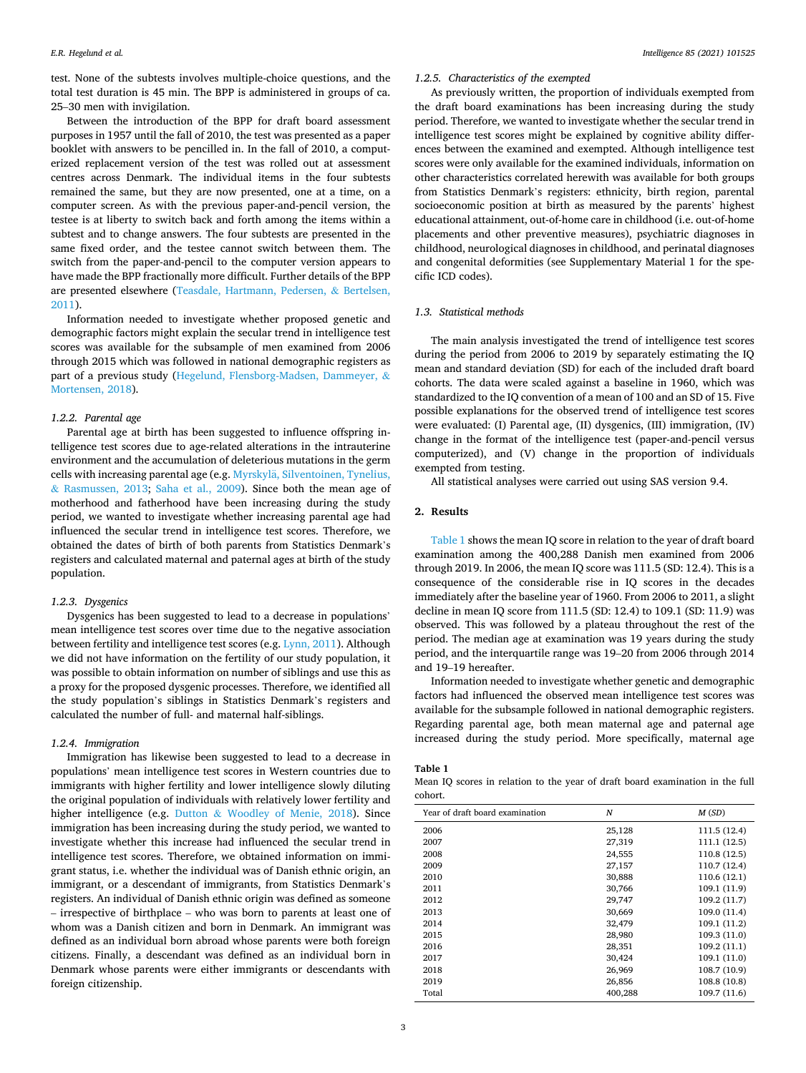test. None of the subtests involves multiple-choice questions, and the total test duration is 45 min. The BPP is administered in groups of ca. 25–30 men with invigilation.

Between the introduction of the BPP for draft board assessment purposes in 1957 until the fall of 2010, the test was presented as a paper booklet with answers to be pencilled in. In the fall of 2010, a computerized replacement version of the test was rolled out at assessment centres across Denmark. The individual items in the four subtests remained the same, but they are now presented, one at a time, on a computer screen. As with the previous paper-and-pencil version, the testee is at liberty to switch back and forth among the items within a subtest and to change answers. The four subtests are presented in the same fixed order, and the testee cannot switch between them. The switch from the paper-and-pencil to the computer version appears to have made the BPP fractionally more difficult. Further details of the BPP are presented elsewhere [\(Teasdale, Hartmann, Pedersen,](#page-5-0) & Bertelsen, [2011\)](#page-5-0).

Information needed to investigate whether proposed genetic and demographic factors might explain the secular trend in intelligence test scores was available for the subsample of men examined from 2006 through 2015 which was followed in national demographic registers as part of a previous study [\(Hegelund, Flensborg-Madsen, Dammeyer,](#page-5-0) & [Mortensen, 2018](#page-5-0)).

### *1.2.2. Parental age*

Parental age at birth has been suggested to influence offspring intelligence test scores due to age-related alterations in the intrauterine environment and the accumulation of deleterious mutations in the germ cells with increasing parental age (e.g. Myrskylä, Silventoinen, Tynelius, & [Rasmussen, 2013](#page-5-0); [Saha et al., 2009](#page-5-0)). Since both the mean age of motherhood and fatherhood have been increasing during the study period, we wanted to investigate whether increasing parental age had influenced the secular trend in intelligence test scores. Therefore, we obtained the dates of birth of both parents from Statistics Denmark's registers and calculated maternal and paternal ages at birth of the study population.

#### *1.2.3. Dysgenics*

Dysgenics has been suggested to lead to a decrease in populations' mean intelligence test scores over time due to the negative association between fertility and intelligence test scores (e.g. [Lynn, 2011](#page-5-0)). Although we did not have information on the fertility of our study population, it was possible to obtain information on number of siblings and use this as a proxy for the proposed dysgenic processes. Therefore, we identified all the study population's siblings in Statistics Denmark's registers and calculated the number of full- and maternal half-siblings.

### *1.2.4. Immigration*

Immigration has likewise been suggested to lead to a decrease in populations' mean intelligence test scores in Western countries due to immigrants with higher fertility and lower intelligence slowly diluting the original population of individuals with relatively lower fertility and higher intelligence (e.g. Dutton & [Woodley of Menie, 2018\)](#page-5-0). Since immigration has been increasing during the study period, we wanted to investigate whether this increase had influenced the secular trend in intelligence test scores. Therefore, we obtained information on immigrant status, i.e. whether the individual was of Danish ethnic origin, an immigrant, or a descendant of immigrants, from Statistics Denmark's registers. An individual of Danish ethnic origin was defined as someone – irrespective of birthplace – who was born to parents at least one of whom was a Danish citizen and born in Denmark. An immigrant was defined as an individual born abroad whose parents were both foreign citizens. Finally, a descendant was defined as an individual born in Denmark whose parents were either immigrants or descendants with foreign citizenship.

### *1.2.5. Characteristics of the exempted*

As previously written, the proportion of individuals exempted from the draft board examinations has been increasing during the study period. Therefore, we wanted to investigate whether the secular trend in intelligence test scores might be explained by cognitive ability differences between the examined and exempted. Although intelligence test scores were only available for the examined individuals, information on other characteristics correlated herewith was available for both groups from Statistics Denmark's registers: ethnicity, birth region, parental socioeconomic position at birth as measured by the parents' highest educational attainment, out-of-home care in childhood (i.e. out-of-home placements and other preventive measures), psychiatric diagnoses in childhood, neurological diagnoses in childhood, and perinatal diagnoses and congenital deformities (see Supplementary Material 1 for the specific ICD codes).

#### *1.3. Statistical methods*

The main analysis investigated the trend of intelligence test scores during the period from 2006 to 2019 by separately estimating the IQ mean and standard deviation (SD) for each of the included draft board cohorts. The data were scaled against a baseline in 1960, which was standardized to the IQ convention of a mean of 100 and an SD of 15. Five possible explanations for the observed trend of intelligence test scores were evaluated: (I) Parental age, (II) dysgenics, (III) immigration, (IV) change in the format of the intelligence test (paper-and-pencil versus computerized), and (V) change in the proportion of individuals exempted from testing.

All statistical analyses were carried out using SAS version 9.4.

# **2. Results**

Table 1 shows the mean IQ score in relation to the year of draft board examination among the 400,288 Danish men examined from 2006 through 2019. In 2006, the mean IQ score was 111.5 (SD: 12.4). This is a consequence of the considerable rise in IQ scores in the decades immediately after the baseline year of 1960. From 2006 to 2011, a slight decline in mean IQ score from 111.5 (SD: 12.4) to 109.1 (SD: 11.9) was observed. This was followed by a plateau throughout the rest of the period. The median age at examination was 19 years during the study period, and the interquartile range was 19–20 from 2006 through 2014 and 19–19 hereafter.

Information needed to investigate whether genetic and demographic factors had influenced the observed mean intelligence test scores was available for the subsample followed in national demographic registers. Regarding parental age, both mean maternal age and paternal age increased during the study period. More specifically, maternal age

#### **Table 1**

Mean IQ scores in relation to the year of draft board examination in the full cohort.

| Year of draft board examination | N       | M(SD)        |
|---------------------------------|---------|--------------|
| 2006                            | 25,128  | 111.5 (12.4) |
| 2007                            | 27,319  | 111.1 (12.5) |
| 2008                            | 24,555  | 110.8 (12.5) |
| 2009                            | 27,157  | 110.7 (12.4) |
| 2010                            | 30,888  | 110.6 (12.1) |
| 2011                            | 30,766  | 109.1 (11.9) |
| 2012                            | 29,747  | 109.2 (11.7) |
| 2013                            | 30,669  | 109.0 (11.4) |
| 2014                            | 32,479  | 109.1 (11.2) |
| 2015                            | 28,980  | 109.3 (11.0) |
| 2016                            | 28,351  | 109.2 (11.1) |
| 2017                            | 30,424  | 109.1 (11.0) |
| 2018                            | 26,969  | 108.7 (10.9) |
| 2019                            | 26,856  | 108.8 (10.8) |
| Total                           | 400,288 | 109.7 (11.6) |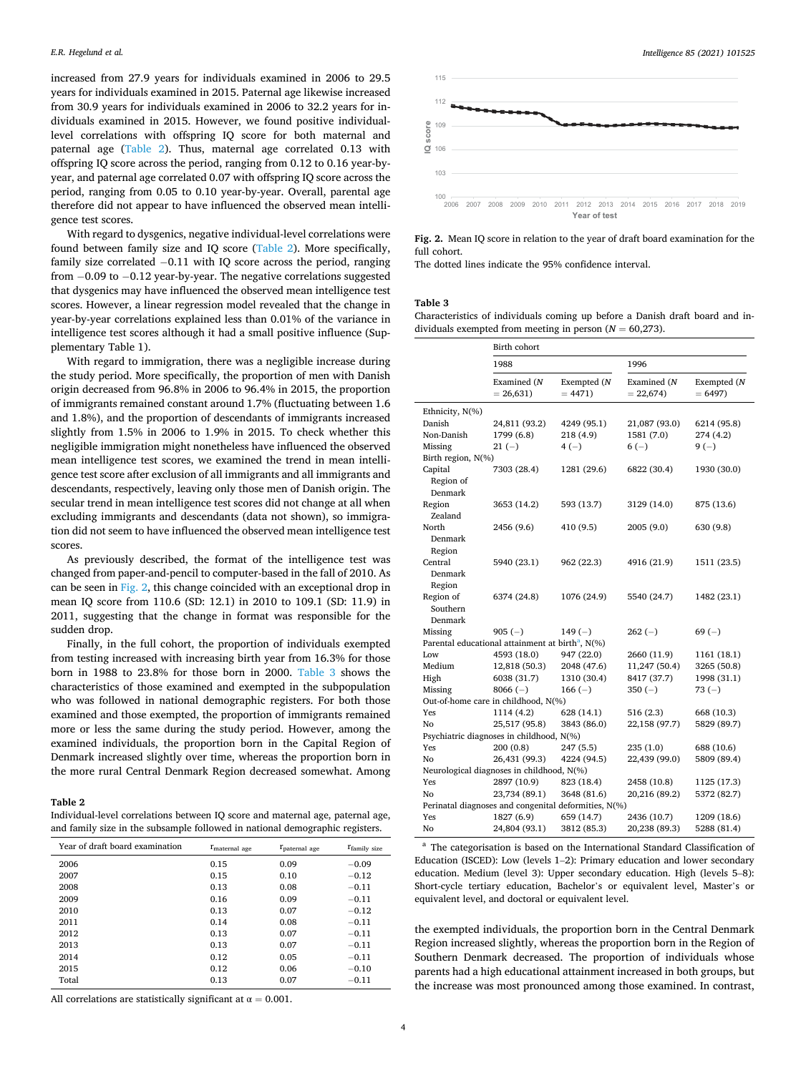increased from 27.9 years for individuals examined in 2006 to 29.5 years for individuals examined in 2015. Paternal age likewise increased from 30.9 years for individuals examined in 2006 to 32.2 years for individuals examined in 2015. However, we found positive individuallevel correlations with offspring IQ score for both maternal and paternal age (Table 2). Thus, maternal age correlated 0.13 with offspring IQ score across the period, ranging from 0.12 to 0.16 year-byyear, and paternal age correlated 0.07 with offspring IQ score across the period, ranging from 0.05 to 0.10 year-by-year. Overall, parental age therefore did not appear to have influenced the observed mean intelligence test scores.

With regard to dysgenics, negative individual-level correlations were found between family size and IQ score (Table 2). More specifically, family size correlated −0.11 with IQ score across the period, ranging from −0.09 to −0.12 year-by-year. The negative correlations suggested that dysgenics may have influenced the observed mean intelligence test scores. However, a linear regression model revealed that the change in year-by-year correlations explained less than 0.01% of the variance in intelligence test scores although it had a small positive influence (Supplementary Table 1).

With regard to immigration, there was a negligible increase during the study period. More specifically, the proportion of men with Danish origin decreased from 96.8% in 2006 to 96.4% in 2015, the proportion of immigrants remained constant around 1.7% (fluctuating between 1.6 and 1.8%), and the proportion of descendants of immigrants increased slightly from 1.5% in 2006 to 1.9% in 2015. To check whether this negligible immigration might nonetheless have influenced the observed mean intelligence test scores, we examined the trend in mean intelligence test score after exclusion of all immigrants and all immigrants and descendants, respectively, leaving only those men of Danish origin. The secular trend in mean intelligence test scores did not change at all when excluding immigrants and descendants (data not shown), so immigration did not seem to have influenced the observed mean intelligence test scores.

As previously described, the format of the intelligence test was changed from paper-and-pencil to computer-based in the fall of 2010. As can be seen in Fig. 2, this change coincided with an exceptional drop in mean IQ score from 110.6 (SD: 12.1) in 2010 to 109.1 (SD: 11.9) in 2011, suggesting that the change in format was responsible for the sudden drop.

Finally, in the full cohort, the proportion of individuals exempted from testing increased with increasing birth year from 16.3% for those born in 1988 to 23.8% for those born in 2000. Table 3 shows the characteristics of those examined and exempted in the subpopulation who was followed in national demographic registers. For both those examined and those exempted, the proportion of immigrants remained more or less the same during the study period. However, among the examined individuals, the proportion born in the Capital Region of Denmark increased slightly over time, whereas the proportion born in the more rural Central Denmark Region decreased somewhat. Among

#### **Table 2**

Individual-level correlations between IQ score and maternal age, paternal age, and family size in the subsample followed in national demographic registers.

| Year of draft board examination | $r_{\text{material age}}$ | $r_{\text{patternal age}}$ | T <sub>family</sub> size |
|---------------------------------|---------------------------|----------------------------|--------------------------|
| 2006                            | 0.15                      | 0.09                       | $-0.09$                  |
| 2007                            | 0.15                      | 0.10                       | $-0.12$                  |
| 2008                            | 0.13                      | 0.08                       | $-0.11$                  |
| 2009                            | 0.16                      | 0.09                       | $-0.11$                  |
| 2010                            | 0.13                      | 0.07                       | $-0.12$                  |
| 2011                            | 0.14                      | 0.08                       | $-0.11$                  |
| 2012                            | 0.13                      | 0.07                       | $-0.11$                  |
| 2013                            | 0.13                      | 0.07                       | $-0.11$                  |
| 2014                            | 0.12                      | 0.05                       | $-0.11$                  |
| 2015                            | 0.12                      | 0.06                       | $-0.10$                  |
| Total                           | 0.13                      | 0.07                       | $-0.11$                  |

All correlations are statistically significant at  $\alpha = 0.001$ .



**Fig. 2.** Mean IQ score in relation to the year of draft board examination for the full cohort.

The dotted lines indicate the 95% confidence interval.

#### **Table 3**

Characteristics of individuals coming up before a Danish draft board and individuals exempted from meeting in person  $(N = 60,273)$ .

|                                                      | Birth cohort                                                 |                         |                           |                         |  |  |
|------------------------------------------------------|--------------------------------------------------------------|-------------------------|---------------------------|-------------------------|--|--|
|                                                      | 1988                                                         |                         | 1996                      |                         |  |  |
|                                                      | Examined (N<br>$= 26,631$                                    | Exempted (N<br>$= 4471$ | Examined (N<br>$= 22,674$ | Exempted (N<br>$= 6497$ |  |  |
| Ethnicity, N(%)                                      |                                                              |                         |                           |                         |  |  |
| Danish                                               | 24,811 (93.2)                                                | 4249 (95.1)             | 21,087 (93.0)             | 6214 (95.8)             |  |  |
| Non-Danish                                           | 1799 (6.8)                                                   | 218 (4.9)               | 1581 (7.0)                | 274 (4.2)               |  |  |
| Missing                                              | $21(-)$                                                      | $4(-)$                  | $6(-)$                    | $9(-)$                  |  |  |
| Birth region, N(%)                                   |                                                              |                         |                           |                         |  |  |
| Capital<br>Region of<br>Denmark                      | 7303 (28.4)                                                  | 1281 (29.6)             | 6822 (30.4)               | 1930 (30.0)             |  |  |
| Region<br>Zealand                                    | 3653 (14.2)                                                  | 593 (13.7)              | 3129 (14.0)               | 875 (13.6)              |  |  |
| North<br>Denmark<br>Region                           | 2456 (9.6)                                                   | 410 (9.5)               | 2005 (9.0)                | 630 (9.8)               |  |  |
| Central<br>Denmark<br>Region                         | 5940 (23.1)                                                  | 962 (22.3)              | 4916 (21.9)               | 1511 (23.5)             |  |  |
| Region of<br>Southern<br>Denmark                     | 6374 (24.8)                                                  | 1076 (24.9)             | 5540 (24.7)               | 1482 (23.1)             |  |  |
| Missing                                              | $905(-)$                                                     | 149 $(-)$               | $262(-)$                  | $69(-)$                 |  |  |
|                                                      | Parental educational attainment at birth <sup>a</sup> , N(%) |                         |                           |                         |  |  |
| Low                                                  | 4593 (18.0)                                                  | 947 (22.0)              | 2660 (11.9)               | 1161 (18.1)             |  |  |
| Medium                                               | 12,818 (50.3)                                                | 2048 (47.6)             | 11,247 (50.4)             | 3265 (50.8)             |  |  |
| High                                                 | 6038 (31.7)                                                  | 1310 (30.4)             | 8417 (37.7)               | 1998 (31.1)             |  |  |
| Missing                                              | $8066(-)$                                                    | $166(-)$                | $350(-)$                  | $73(-)$                 |  |  |
| Out-of-home care in childhood, N(%)                  |                                                              |                         |                           |                         |  |  |
| Yes                                                  | 1114 (4.2)                                                   | 628 (14.1)              | 516 (2.3)                 | 668 (10.3)              |  |  |
| No                                                   | 25,517 (95.8)                                                | 3843 (86.0)             | 22,158 (97.7)             | 5829 (89.7)             |  |  |
| Psychiatric diagnoses in childhood, N(%)             |                                                              |                         |                           |                         |  |  |
| Yes                                                  | 200 (0.8)                                                    | 247 (5.5)               | 235 (1.0)                 | 688 (10.6)              |  |  |
| No                                                   | 26,431 (99.3)                                                | 4224 (94.5)             | 22,439 (99.0)             | 5809 (89.4)             |  |  |
| Neurological diagnoses in childhood, N(%)            |                                                              |                         |                           |                         |  |  |
| Yes                                                  | 2897 (10.9)                                                  | 823 (18.4)              | 2458 (10.8)               | 1125 (17.3)             |  |  |
| No                                                   | 23,734 (89.1)                                                | 3648 (81.6)             | 20,216 (89.2)             | 5372 (82.7)             |  |  |
| Perinatal diagnoses and congenital deformities, N(%) |                                                              |                         |                           |                         |  |  |
| Yes                                                  | 1827 (6.9)                                                   | 659 (14.7)              | 2436 (10.7)               | 1209 (18.6)             |  |  |
| No                                                   | 24,804 (93.1)                                                | 3812 (85.3)             | 20,238 (89.3)             | 5288 (81.4)             |  |  |

<sup>a</sup> The categorisation is based on the International Standard Classification of Education (ISCED): Low (levels 1–2): Primary education and lower secondary education. Medium (level 3): Upper secondary education. High (levels 5–8): Short-cycle tertiary education, Bachelor's or equivalent level, Master's or equivalent level, and doctoral or equivalent level.

the exempted individuals, the proportion born in the Central Denmark Region increased slightly, whereas the proportion born in the Region of Southern Denmark decreased. The proportion of individuals whose parents had a high educational attainment increased in both groups, but the increase was most pronounced among those examined. In contrast,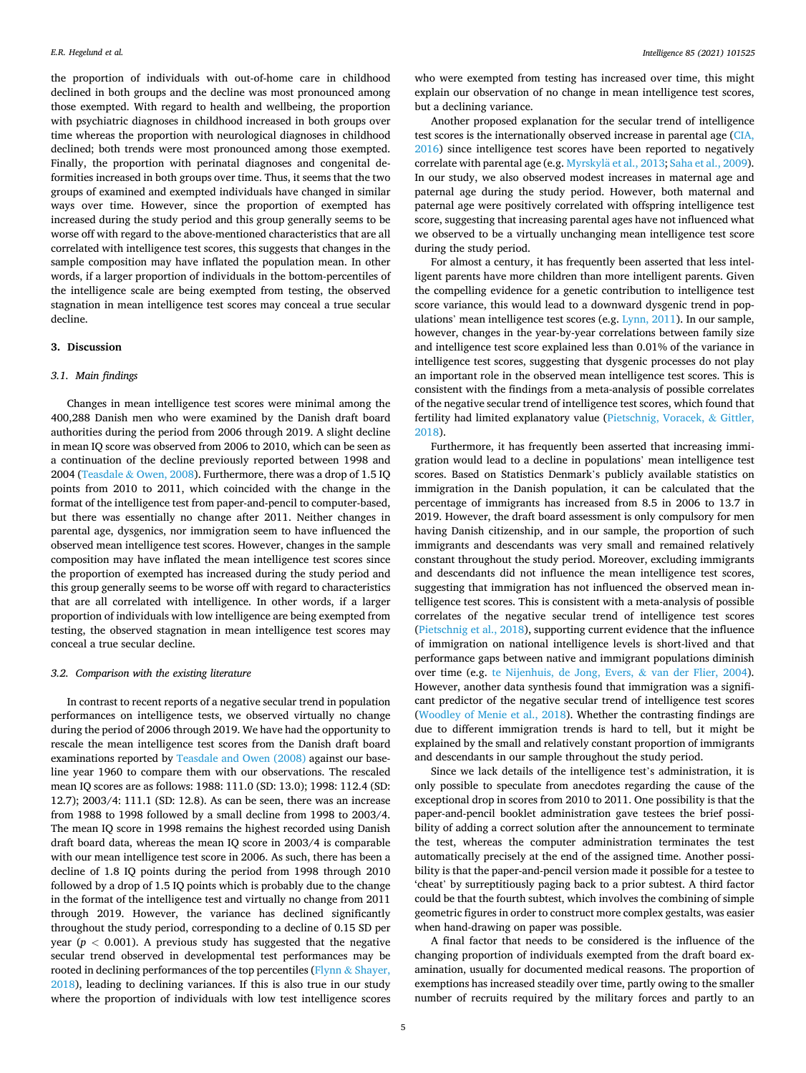the proportion of individuals with out-of-home care in childhood declined in both groups and the decline was most pronounced among those exempted. With regard to health and wellbeing, the proportion with psychiatric diagnoses in childhood increased in both groups over time whereas the proportion with neurological diagnoses in childhood declined; both trends were most pronounced among those exempted. Finally, the proportion with perinatal diagnoses and congenital deformities increased in both groups over time. Thus, it seems that the two groups of examined and exempted individuals have changed in similar ways over time. However, since the proportion of exempted has increased during the study period and this group generally seems to be worse off with regard to the above-mentioned characteristics that are all correlated with intelligence test scores, this suggests that changes in the sample composition may have inflated the population mean. In other words, if a larger proportion of individuals in the bottom-percentiles of the intelligence scale are being exempted from testing, the observed stagnation in mean intelligence test scores may conceal a true secular decline.

# **3. Discussion**

# *3.1. Main findings*

Changes in mean intelligence test scores were minimal among the 400,288 Danish men who were examined by the Danish draft board authorities during the period from 2006 through 2019. A slight decline in mean IQ score was observed from 2006 to 2010, which can be seen as a continuation of the decline previously reported between 1998 and 2004 (Teasdale & [Owen, 2008](#page-6-0)). Furthermore, there was a drop of 1.5 IQ points from 2010 to 2011, which coincided with the change in the format of the intelligence test from paper-and-pencil to computer-based, but there was essentially no change after 2011. Neither changes in parental age, dysgenics, nor immigration seem to have influenced the observed mean intelligence test scores. However, changes in the sample composition may have inflated the mean intelligence test scores since the proportion of exempted has increased during the study period and this group generally seems to be worse off with regard to characteristics that are all correlated with intelligence. In other words, if a larger proportion of individuals with low intelligence are being exempted from testing, the observed stagnation in mean intelligence test scores may conceal a true secular decline.

#### *3.2. Comparison with the existing literature*

In contrast to recent reports of a negative secular trend in population performances on intelligence tests, we observed virtually no change during the period of 2006 through 2019. We have had the opportunity to rescale the mean intelligence test scores from the Danish draft board examinations reported by [Teasdale and Owen \(2008\)](#page-6-0) against our baseline year 1960 to compare them with our observations. The rescaled mean IQ scores are as follows: 1988: 111.0 (SD: 13.0); 1998: 112.4 (SD: 12.7); 2003/4: 111.1 (SD: 12.8). As can be seen, there was an increase from 1988 to 1998 followed by a small decline from 1998 to 2003/4. The mean IQ score in 1998 remains the highest recorded using Danish draft board data, whereas the mean IQ score in 2003/4 is comparable with our mean intelligence test score in 2006. As such, there has been a decline of 1.8 IQ points during the period from 1998 through 2010 followed by a drop of 1.5 IQ points which is probably due to the change in the format of the intelligence test and virtually no change from 2011 through 2019. However, the variance has declined significantly throughout the study period, corresponding to a decline of 0.15 SD per year ( $p < 0.001$ ). A previous study has suggested that the negative secular trend observed in developmental test performances may be rooted in declining performances of the top percentiles (Flynn & [Shayer,](#page-5-0)  [2018\)](#page-5-0), leading to declining variances. If this is also true in our study where the proportion of individuals with low test intelligence scores

who were exempted from testing has increased over time, this might explain our observation of no change in mean intelligence test scores, but a declining variance.

Another proposed explanation for the secular trend of intelligence test scores is the internationally observed increase in parental age [\(CIA,](#page-5-0)  [2016\)](#page-5-0) since intelligence test scores have been reported to negatively correlate with parental age (e.g. Myrskylä et al., 2013; [Saha et al., 2009](#page-5-0)). In our study, we also observed modest increases in maternal age and paternal age during the study period. However, both maternal and paternal age were positively correlated with offspring intelligence test score, suggesting that increasing parental ages have not influenced what we observed to be a virtually unchanging mean intelligence test score during the study period.

For almost a century, it has frequently been asserted that less intelligent parents have more children than more intelligent parents. Given the compelling evidence for a genetic contribution to intelligence test score variance, this would lead to a downward dysgenic trend in populations' mean intelligence test scores (e.g. [Lynn, 2011\)](#page-5-0). In our sample, however, changes in the year-by-year correlations between family size and intelligence test score explained less than 0.01% of the variance in intelligence test scores, suggesting that dysgenic processes do not play an important role in the observed mean intelligence test scores. This is consistent with the findings from a meta-analysis of possible correlates of the negative secular trend of intelligence test scores, which found that fertility had limited explanatory value ([Pietschnig, Voracek,](#page-5-0) & Gittler, [2018\)](#page-5-0).

Furthermore, it has frequently been asserted that increasing immigration would lead to a decline in populations' mean intelligence test scores. Based on Statistics Denmark's publicly available statistics on immigration in the Danish population, it can be calculated that the percentage of immigrants has increased from 8.5 in 2006 to 13.7 in 2019. However, the draft board assessment is only compulsory for men having Danish citizenship, and in our sample, the proportion of such immigrants and descendants was very small and remained relatively constant throughout the study period. Moreover, excluding immigrants and descendants did not influence the mean intelligence test scores, suggesting that immigration has not influenced the observed mean intelligence test scores. This is consistent with a meta-analysis of possible correlates of the negative secular trend of intelligence test scores ([Pietschnig et al., 2018\)](#page-5-0), supporting current evidence that the influence of immigration on national intelligence levels is short-lived and that performance gaps between native and immigrant populations diminish over time (e.g. [te Nijenhuis, de Jong, Evers,](#page-5-0) & van der Flier, 2004). However, another data synthesis found that immigration was a significant predictor of the negative secular trend of intelligence test scores ([Woodley of Menie et al., 2018\)](#page-6-0). Whether the contrasting findings are due to different immigration trends is hard to tell, but it might be explained by the small and relatively constant proportion of immigrants and descendants in our sample throughout the study period.

Since we lack details of the intelligence test's administration, it is only possible to speculate from anecdotes regarding the cause of the exceptional drop in scores from 2010 to 2011. One possibility is that the paper-and-pencil booklet administration gave testees the brief possibility of adding a correct solution after the announcement to terminate the test, whereas the computer administration terminates the test automatically precisely at the end of the assigned time. Another possibility is that the paper-and-pencil version made it possible for a testee to 'cheat' by surreptitiously paging back to a prior subtest. A third factor could be that the fourth subtest, which involves the combining of simple geometric figures in order to construct more complex gestalts, was easier when hand-drawing on paper was possible.

A final factor that needs to be considered is the influence of the changing proportion of individuals exempted from the draft board examination, usually for documented medical reasons. The proportion of exemptions has increased steadily over time, partly owing to the smaller number of recruits required by the military forces and partly to an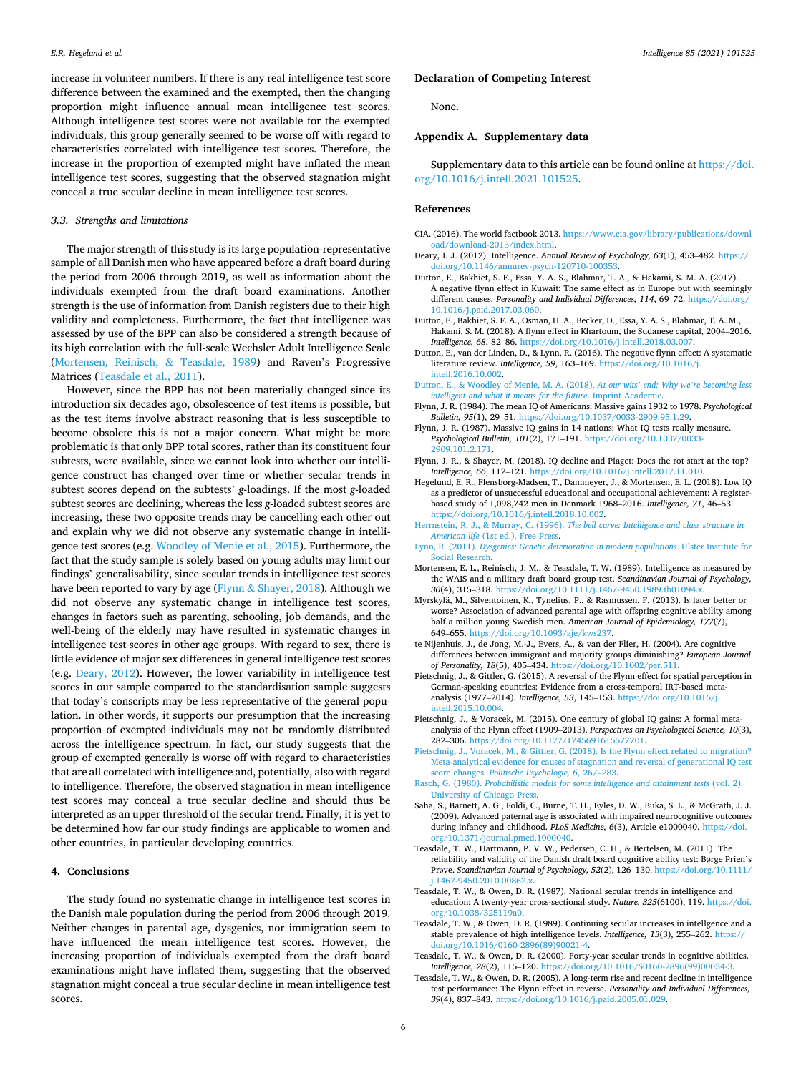*Intelligence 85 (2021) 101525*

<span id="page-5-0"></span>increase in volunteer numbers. If there is any real intelligence test score difference between the examined and the exempted, then the changing proportion might influence annual mean intelligence test scores. Although intelligence test scores were not available for the exempted individuals, this group generally seemed to be worse off with regard to characteristics correlated with intelligence test scores. Therefore, the increase in the proportion of exempted might have inflated the mean intelligence test scores, suggesting that the observed stagnation might conceal a true secular decline in mean intelligence test scores.

#### *3.3. Strengths and limitations*

The major strength of this study is its large population-representative sample of all Danish men who have appeared before a draft board during the period from 2006 through 2019, as well as information about the individuals exempted from the draft board examinations. Another strength is the use of information from Danish registers due to their high validity and completeness. Furthermore, the fact that intelligence was assessed by use of the BPP can also be considered a strength because of its high correlation with the full-scale Wechsler Adult Intelligence Scale (Mortensen, Reinisch, & Teasdale, 1989) and Raven's Progressive Matrices (Teasdale et al., 2011).

However, since the BPP has not been materially changed since its introduction six decades ago, obsolescence of test items is possible, but as the test items involve abstract reasoning that is less susceptible to become obsolete this is not a major concern. What might be more problematic is that only BPP total scores, rather than its constituent four subtests, were available, since we cannot look into whether our intelligence construct has changed over time or whether secular trends in subtest scores depend on the subtests' *g*-loadings. If the most *g*-loaded subtest scores are declining, whereas the less *g*-loaded subtest scores are increasing, these two opposite trends may be cancelling each other out and explain why we did not observe any systematic change in intelligence test scores (e.g. [Woodley of Menie et al., 2015](#page-6-0)). Furthermore, the fact that the study sample is solely based on young adults may limit our findings' generalisability, since secular trends in intelligence test scores have been reported to vary by age ( $Flynn & Shayer, 2018$ ). Although we did not observe any systematic change in intelligence test scores, changes in factors such as parenting, schooling, job demands, and the well-being of the elderly may have resulted in systematic changes in intelligence test scores in other age groups. With regard to sex, there is little evidence of major sex differences in general intelligence test scores (e.g. Deary, 2012). However, the lower variability in intelligence test scores in our sample compared to the standardisation sample suggests that today's conscripts may be less representative of the general population. In other words, it supports our presumption that the increasing proportion of exempted individuals may not be randomly distributed across the intelligence spectrum. In fact, our study suggests that the group of exempted generally is worse off with regard to characteristics that are all correlated with intelligence and, potentially, also with regard to intelligence. Therefore, the observed stagnation in mean intelligence test scores may conceal a true secular decline and should thus be interpreted as an upper threshold of the secular trend. Finally, it is yet to be determined how far our study findings are applicable to women and other countries, in particular developing countries.

#### **4. Conclusions**

The study found no systematic change in intelligence test scores in the Danish male population during the period from 2006 through 2019. Neither changes in parental age, dysgenics, nor immigration seem to have influenced the mean intelligence test scores. However, the increasing proportion of individuals exempted from the draft board examinations might have inflated them, suggesting that the observed stagnation might conceal a true secular decline in mean intelligence test scores.

# **Declaration of Competing Interest**

None.

# **Appendix A. Supplementary data**

Supplementary data to this article can be found online at [https://doi.](https://doi.org/10.1016/j.intell.2021.101525)  [org/10.1016/j.intell.2021.101525](https://doi.org/10.1016/j.intell.2021.101525).

#### **References**

- CIA. (2016). The world factbook 2013. [https://www.cia.gov/library/publications/downl](https://www.cia.gov/library/publications/download/download-2013/index.html)  [oad/download-2013/index.html.](https://www.cia.gov/library/publications/download/download-2013/index.html)
- Deary, I. J. (2012). Intelligence. *Annual Review of Psychology, 63*(1), 453–482. [https://](https://doi.org/10.1146/annurev-psych-120710-100353) [doi.org/10.1146/annurev-psych-120710-100353.](https://doi.org/10.1146/annurev-psych-120710-100353)
- Dutton, E., Bakhiet, S. F., Essa, Y. A. S., Blahmar, T. A., & Hakami, S. M. A. (2017). A negative flynn effect in Kuwait: The same effect as in Europe but with seemingly different causes. *Personality and Individual Differences, 114*, 69–72. [https://doi.org/](https://doi.org/10.1016/j.paid.2017.03.060) [10.1016/j.paid.2017.03.060.](https://doi.org/10.1016/j.paid.2017.03.060)
- Dutton, E., Bakhiet, S. F. A., Osman, H. A., Becker, D., Essa, Y. A. S., Blahmar, T. A. M., … Hakami, S. M. (2018). A flynn effect in Khartoum, the Sudanese capital, 2004–2016. *Intelligence, 68*, 82–86. <https://doi.org/10.1016/j.intell.2018.03.007>.
- Dutton, E., van der Linden, D., & Lynn, R. (2016). The negative flynn effect: A systematic literature review. *Intelligence, 59*, 163–169. [https://doi.org/10.1016/j.](https://doi.org/10.1016/j.intell.2016.10.002)  [intell.2016.10.002.](https://doi.org/10.1016/j.intell.2016.10.002)
- [Dutton, E., & Woodley of Menie, M. A. \(2018\).](http://refhub.elsevier.com/S0160-2896(21)00009-X/rf0030) *At our wits' end: Why we're becoming less [intelligent and what it means for the future](http://refhub.elsevier.com/S0160-2896(21)00009-X/rf0030)*. Imprint Academic.
- Flynn, J. R. (1984). The mean IQ of Americans: Massive gains 1932 to 1978. *Psychological Bulletin, 95*(1), 29–51. <https://doi.org/10.1037/0033-2909.95.1.29>.
- Flynn, J. R. (1987). Massive IQ gains in 14 nations: What IQ tests really measure. *Psychological Bulletin, 101*(2), 171–191. [https://doi.org/10.1037/0033-](https://doi.org/10.1037/0033-2909.101.2.171) [2909.101.2.171](https://doi.org/10.1037/0033-2909.101.2.171).
- Flynn, J. R., & Shayer, M. (2018). IQ decline and Piaget: Does the rot start at the top? *Intelligence, 66*, 112–121. <https://doi.org/10.1016/j.intell.2017.11.010>.
- Hegelund, E. R., Flensborg-Madsen, T., Dammeyer, J., & Mortensen, E. L. (2018). Low IQ as a predictor of unsuccessful educational and occupational achievement: A registerbased study of 1,098,742 men in Denmark 1968–2016. *Intelligence, 71*, 46–53. <https://doi.org/10.1016/j.intell.2018.10.002>.
- Herrnstein, R. J., & Murray, C. (1996). *[The bell curve: Intelligence and class structure in](http://refhub.elsevier.com/S0160-2896(21)00009-X/rf0055)  American life* [\(1st ed.\). Free Press.](http://refhub.elsevier.com/S0160-2896(21)00009-X/rf0055)
- Lynn, R. (2011). *[Dysgenics: Genetic deterioration in modern populations](http://refhub.elsevier.com/S0160-2896(21)00009-X/rf0060)*. Ulster Institute for [Social Research.](http://refhub.elsevier.com/S0160-2896(21)00009-X/rf0060)
- Mortensen, E. L., Reinisch, J. M., & Teasdale, T. W. (1989). Intelligence as measured by the WAIS and a military draft board group test. *Scandinavian Journal of Psychology, 30*(4), 315–318. <https://doi.org/10.1111/j.1467-9450.1989.tb01094.x>.
- Myrskyla, M., Silventoinen, K., Tynelius, P., & Rasmussen, F. (2013). Is later better or ¨ worse? Association of advanced parental age with offspring cognitive ability among half a million young Swedish men. *American Journal of Epidemiology, 177*(7), 649–655. <https://doi.org/10.1093/aje/kws237>.
- te Nijenhuis, J., de Jong, M.-J., Evers, A., & van der Flier, H. (2004). Are cognitive differences between immigrant and majority groups diminishing? *European Journal of Personality, 18*(5), 405–434. [https://doi.org/10.1002/per.511.](https://doi.org/10.1002/per.511)
- Pietschnig, J., & Gittler, G. (2015). A reversal of the Flynn effect for spatial perception in German-speaking countries: Evidence from a cross-temporal IRT-based metaanalysis (1977–2014). *Intelligence, 53*, 145–153. [https://doi.org/10.1016/j.](https://doi.org/10.1016/j.intell.2015.10.004) [intell.2015.10.004.](https://doi.org/10.1016/j.intell.2015.10.004)
- Pietschnig, J., & Voracek, M. (2015). One century of global IQ gains: A formal metaanalysis of the Flynn effect (1909–2013). *Perspectives on Psychological Science, 10*(3), 282–306. <https://doi.org/10.1177/1745691615577701>.
- Pietschnig, J., Voracek, M., & Gittler, G. (2018). Is the Flynn effect related to migration? [Meta-analytical evidence for causes of stagnation and reversal of generational IQ test](http://refhub.elsevier.com/S0160-2896(21)00009-X/rf0090)  score changes. *[Politische Psychologie, 6](http://refhub.elsevier.com/S0160-2896(21)00009-X/rf0090)*, 267–283.
- Rasch, G. (1980). *[Probabilistic models for some intelligence and attainment tests](http://refhub.elsevier.com/S0160-2896(21)00009-X/rf0095)* (vol. 2). [University of Chicago Press.](http://refhub.elsevier.com/S0160-2896(21)00009-X/rf0095)
- Saha, S., Barnett, A. G., Foldi, C., Burne, T. H., Eyles, D. W., Buka, S. L., & McGrath, J. J. (2009). Advanced paternal age is associated with impaired neurocognitive outcomes during infancy and childhood. *PLoS Medicine, 6*(3), Article e1000040. [https://doi.](https://doi.org/10.1371/journal.pmed.1000040) [org/10.1371/journal.pmed.1000040](https://doi.org/10.1371/journal.pmed.1000040).
- Teasdale, T. W., Hartmann, P. V. W., Pedersen, C. H., & Bertelsen, M. (2011). The reliability and validity of the Danish draft board cognitive ability test: Børge Prien's Prøve. *Scandinavian Journal of Psychology, 52*(2), 126–130. [https://doi.org/10.1111/](https://doi.org/10.1111/j.1467-9450.2010.00862.x)  [j.1467-9450.2010.00862.x.](https://doi.org/10.1111/j.1467-9450.2010.00862.x)
- Teasdale, T. W., & Owen, D. R. (1987). National secular trends in intelligence and education: A twenty-year cross-sectional study. *Nature, 325*(6100), 119. [https://doi.](https://doi.org/10.1038/325119a0)  [org/10.1038/325119a0.](https://doi.org/10.1038/325119a0)
- Teasdale, T. W., & Owen, D. R. (1989). Continuing secular increases in intellgence and a stable prevalence of high intelligence levels. *Intelligence, 13*(3), 255–262. [https://](https://doi.org/10.1016/0160-2896(89)90021-4)  [doi.org/10.1016/0160-2896\(89\)90021-4.](https://doi.org/10.1016/0160-2896(89)90021-4)
- Teasdale, T. W., & Owen, D. R. (2000). Forty-year secular trends in cognitive abilities. *Intelligence, 28*(2), 115–120. [https://doi.org/10.1016/S0160-2896\(99\)00034-3.](https://doi.org/10.1016/S0160-2896(99)00034-3)
- Teasdale, T. W., & Owen, D. R. (2005). A long-term rise and recent decline in intelligence test performance: The Flynn effect in reverse. *Personality and Individual Differences, 39*(4), 837–843. <https://doi.org/10.1016/j.paid.2005.01.029>.